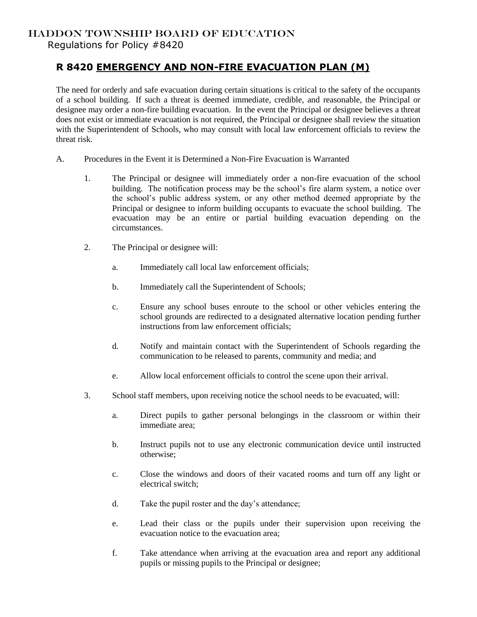## HADDON TOWNSHIP BOARD OF EDUCATION

Regulations for Policy #8420

## **R 8420 EMERGENCY AND NON-FIRE EVACUATION PLAN (M)**

The need for orderly and safe evacuation during certain situations is critical to the safety of the occupants of a school building. If such a threat is deemed immediate, credible, and reasonable, the Principal or designee may order a non-fire building evacuation. In the event the Principal or designee believes a threat does not exist or immediate evacuation is not required, the Principal or designee shall review the situation with the Superintendent of Schools, who may consult with local law enforcement officials to review the threat risk.

- A. Procedures in the Event it is Determined a Non-Fire Evacuation is Warranted
	- 1. The Principal or designee will immediately order a non-fire evacuation of the school building. The notification process may be the school's fire alarm system, a notice over the school's public address system, or any other method deemed appropriate by the Principal or designee to inform building occupants to evacuate the school building. The evacuation may be an entire or partial building evacuation depending on the circumstances.
	- 2. The Principal or designee will:
		- a. Immediately call local law enforcement officials;
		- b. Immediately call the Superintendent of Schools;
		- c. Ensure any school buses enroute to the school or other vehicles entering the school grounds are redirected to a designated alternative location pending further instructions from law enforcement officials;
		- d. Notify and maintain contact with the Superintendent of Schools regarding the communication to be released to parents, community and media; and
		- e. Allow local enforcement officials to control the scene upon their arrival.
	- 3. School staff members, upon receiving notice the school needs to be evacuated, will:
		- a. Direct pupils to gather personal belongings in the classroom or within their immediate area;
		- b. Instruct pupils not to use any electronic communication device until instructed otherwise;
		- c. Close the windows and doors of their vacated rooms and turn off any light or electrical switch;
		- d. Take the pupil roster and the day's attendance;
		- e. Lead their class or the pupils under their supervision upon receiving the evacuation notice to the evacuation area;
		- f. Take attendance when arriving at the evacuation area and report any additional pupils or missing pupils to the Principal or designee;